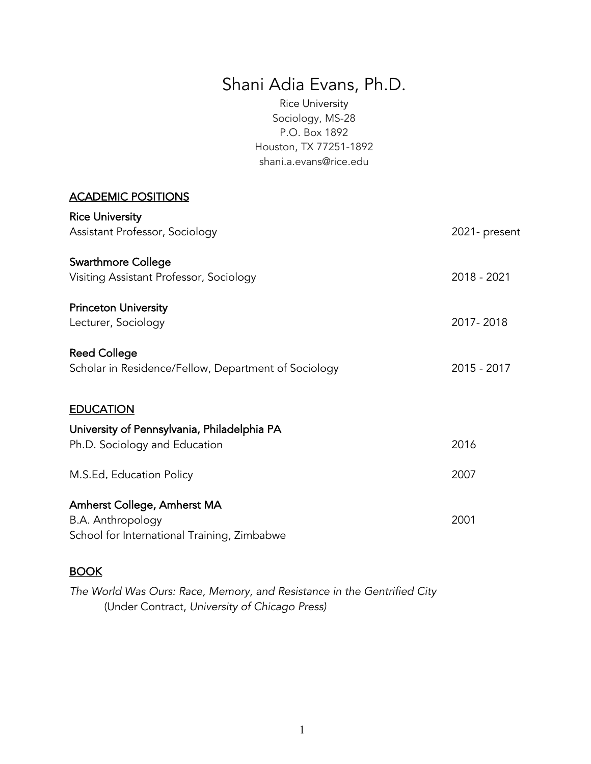# Shani Adia Evans, Ph.D.

Rice University Sociology, MS-28 P.O. Box 1892 Houston, TX 77251-1892 [shani.a.evans@rice.edu](mailto:shani.a.evans@rice.edu)

#### ACADEMIC POSITIONS Rice University

| <b>NICE UTITUEISILY</b><br>Assistant Professor, Sociology                    | 2021- present |
|------------------------------------------------------------------------------|---------------|
| <b>Swarthmore College</b><br>Visiting Assistant Professor, Sociology         | 2018 - 2021   |
| <b>Princeton University</b><br>Lecturer, Sociology                           | 2017-2018     |
| <b>Reed College</b><br>Scholar in Residence/Fellow, Department of Sociology  | 2015 - 2017   |
| <b>EDUCATION</b>                                                             |               |
| University of Pennsylvania, Philadelphia PA<br>Ph.D. Sociology and Education | 2016          |
| M.S.Ed. Education Policy                                                     | 2007          |
|                                                                              |               |

### **BOOK**

 *The World Was Ours: Race, Memory, and Resistance in the Gentrified City*  (Under Contract, *University of Chicago Press)*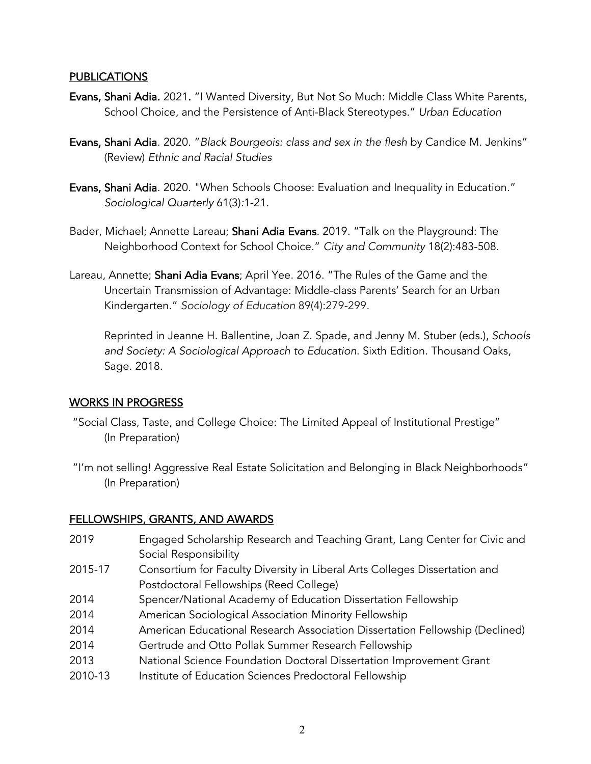#### PUBLICATIONS

- Evans, Shani Adia. 2021. "I Wanted Diversity, But Not So Much: Middle Class White Parents, School Choice, and the Persistence of Anti-Black Stereotypes." *Urban Education*
- Evans, Shani Adia. 2020. "*Black Bourgeois: class and sex in the flesh* by Candice M. Jenkins" (Review) *Ethnic and Racial Studies*
- **Evans, Shani Adia**. 2020. "When Schools Choose: Evaluation and Inequality in Education." *Sociological Quarterly* 61(3)*:*1-21.
- Bader, Michael; Annette Lareau; Shani Adia Evans. 2019. "Talk on the Playground: The Neighborhood Context for School Choice." *City and Community* 18(2):483-508.
- Lareau, Annette; **Shani Adia Evans**; April Yee. 2016. "The Rules of the Game and the Uncertain Transmission of Advantage: Middle-class Parents' Search for an Urban Kindergarten." *Sociology of Education* 89(4):279-299.

 Reprinted in Jeanne H. Ballentine, Joan Z. Spade, and Jenny M. Stuber (eds.), *Schools and Society: A Sociological Approach to Education*. Sixth Edition. Thousand Oaks, Sage. 2018.

#### WORKS IN PROGRESS

- "Social Class, Taste, and College Choice: The Limited Appeal of Institutional Prestige" (In Preparation)
- "I'm not selling! Aggressive Real Estate Solicitation and Belonging in Black Neighborhoods" (In Preparation)

#### FELLOWSHIPS, GRANTS, AND AWARDS

- 2019 Engaged Scholarship Research and Teaching Grant, Lang Center for Civic and Social Responsibility
- 2015-17 Consortium for Faculty Diversity in Liberal Arts Colleges Dissertation and Postdoctoral Fellowships (Reed College)
- 2014 Spencer/National Academy of Education Dissertation Fellowship
- 2014 American Sociological Association Minority Fellowship
- 2014 American Educational Research Association Dissertation Fellowship (Declined)
- 2014 Gertrude and Otto Pollak Summer Research Fellowship
- 2013 National Science Foundation Doctoral Dissertation Improvement Grant
- 2010-13 Institute of Education Sciences Predoctoral Fellowship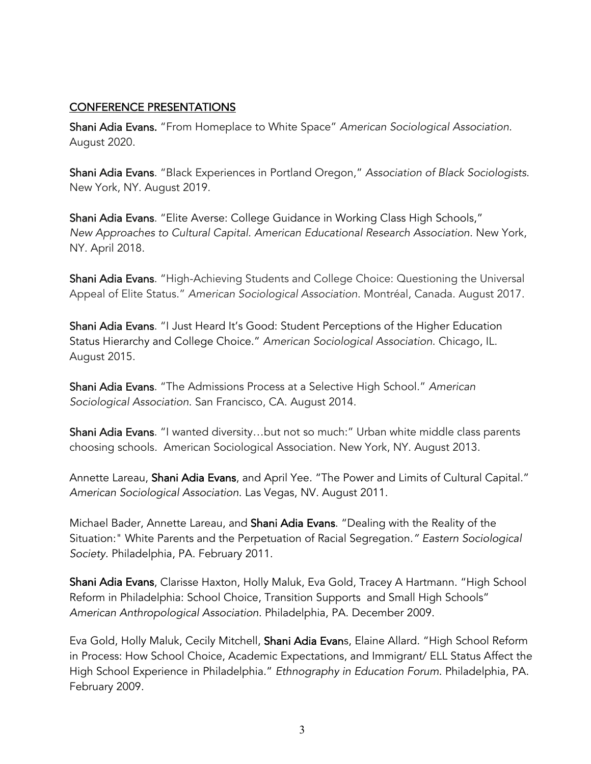## CONFERENCE PRESENTATIONS

 Shani Adia Evans. "From Homeplace to White Space" *American Sociological Association*. August 2020.

 Shani Adia Evans. "Black Experiences in Portland Oregon," *Association of Black Sociologists*. New York, NY. August 2019.

 Shani Adia Evans. "Elite Averse: College Guidance in Working Class High Schools,"  *New Approaches to Cultural Capital*. *American Educational Research Association*. New York, NY. April 2018.

**Shani Adia Evans**. "High-Achieving Students and College Choice: Questioning the Universal Appeal of Elite Status." *American Sociological Association*. Montréal, Canada. August 2017.

Shani Adia Evans. "I Just Heard It's Good: Student Perceptions of the Higher Education Status Hierarchy and College Choice." *American Sociological Association*. Chicago, IL. August 2015.

 Shani Adia Evans. "The Admissions Process at a Selective High School." *American Sociological Association*. San Francisco, CA. August 2014.

**Shani Adia Evans**. "I wanted diversity…but not so much:" Urban white middle class parents choosing schools. American Sociological Association. New York, NY. August 2013.

Annette Lareau, **Shani Adia Evans**, and April Yee. "The Power and Limits of Cultural Capital." *American Sociological Association*. Las Vegas, NV. August 2011.

 Michael Bader, Annette Lareau, and Shani Adia Evans. "Dealing with the Reality of the Situation:" White Parents and the Perpetuation of Racial Segregation*." Eastern Sociological Society*. Philadelphia, PA. February 2011.

**Shani Adia Evans**, Clarisse Haxton, Holly Maluk, Eva Gold, Tracey A Hartmann. "High School Reform in Philadelphia: School Choice, Transition Supports and Small High Schools" *American Anthropological Association*. Philadelphia, PA. December 2009.

 Eva Gold, Holly Maluk, Cecily Mitchell, Shani Adia Evans, Elaine Allard. "High School Reform in Process: How School Choice, Academic Expectations, and Immigrant/ ELL Status Affect the High School Experience in Philadelphia." *Ethnography in Education Forum*. Philadelphia, PA. February 2009.